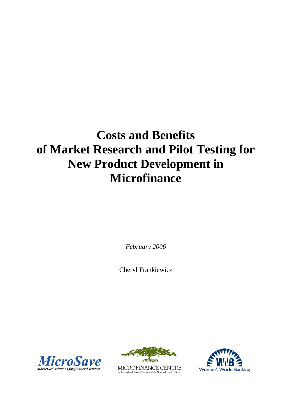# **Costs and Benefits of Market Research and Pilot Testing for New Product Development in Microfinance**

*February 2006*

Cheryl Frankiewicz





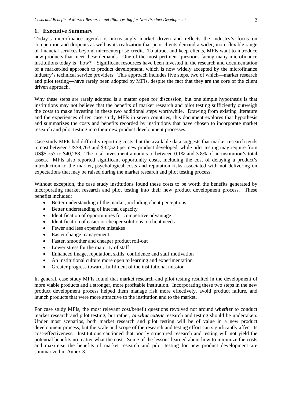## **1. Executive Summary**

Today's microfinance agenda is increasingly market driven and reflects the industry's focus on competition and dropouts as well as its realization that poor clients demand a wider, more flexible range of financial services beyond microenterprise credit. To attract and keep clients, MFIs want to introduce new products that meet these demands. One of the most pertinent questions facing many microfinance institutions today is "how?" Significant resources have been invested in the research and documentation of a market-led approach to product development, which is now widely accepted by the microfinance industry's technical service providers. This approach includes five steps, two of which—market research and pilot testing—have rarely been adopted by MFIs, despite the fact that they are the core of the client driven approach.

Why these steps are rarely adopted is a matter open for discussion, but one simple hypothesis is that institutions may not believe that the benefits of market research and pilot testing sufficiently outweigh the costs to make investing in these two additional steps worthwhile. Drawing from existing literature and the experiences of ten case study MFIs in seven countries, this document explores that hypothesis and summarizes the costs and benefits recorded by institutions that have chosen to incorporate market research and pilot testing into their new product development processes.

Case study MFIs had difficulty reporting costs, but the available data suggests that market research tends to cost between US\$9,763 and \$32,520 per new product developed, while pilot testing may require from US\$5,757 to \$40,288. The total investment amounts to between 0.1% and 3.8% of an institution's total assets. MFIs also reported significant opportunity costs, including the cost of delaying a product's introduction to the market, psychological costs and reputation risks associated with not delivering on expectations that may be raised during the market research and pilot testing process.

Without exception, the case study institutions found these costs to be worth the benefits generated by incorporating market research and pilot testing into their new product development process. These benefits included:

- Better understanding of the market, including client perceptions
- Better understanding of internal capacity
- Identification of opportunities for competitive advantage
- Identification of easier or cheaper solutions to client needs
- Fewer and less expensive mistakes
- Easier change management
- Faster, smoother and cheaper product roll-out
- Lower stress for the majority of staff
- Enhanced image, reputation, skills, confidence and staff motivation
- An institutional culture more open to learning and experimentation
- Greater progress towards fulfilment of the institutional mission

In general, case study MFIs found that market research and pilot testing resulted in the development of more viable products and a stronger, more profitable institution. Incorporating these two steps in the new product development process helped them manage risk more effectively, avoid product failure, and launch products that were more attractive to the institution and to the market.

For case study MFIs, the most relevant cost/benefit questions revolved not around *whether* to conduct market research and pilot testing, but rather, *to what extent* research and testing should be undertaken. Under most scenarios, both market research and pilot testing will be of value in a new product development process, but the scale and scope of the research and testing effort can significantly affect its cost-effectiveness. Institutions cautioned that poorly structured research and testing will not yield the potential benefits no matter what the cost. Some of the lessons learned about how to minimize the costs and maximise the benefits of market research and pilot testing for new product development are summarized in Annex 3.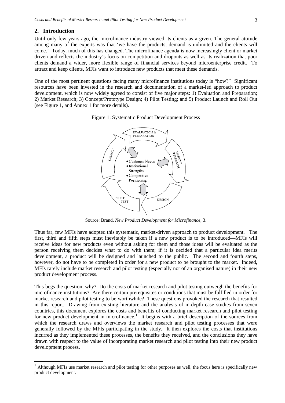#### **2. Introduction**

Until only few years ago, the microfinance industry viewed its clients as a given. The general attitude among many of the experts was that 'we have the products, demand is unlimited and the clients will come.' Today, much of this has changed. The microfinance agenda is now increasingly client or market driven and reflects the industry's focus on competition and dropouts as well as its realization that poor clients demand a wider, more flexible range of financial services beyond microenterprise credit. To attract and keep clients, MFIs want to introduce new products that meet these demands.

One of the most pertinent questions facing many microfinance institutions today is "how?" Significant resources have been invested in the research and documentation of a market-led approach to product development, which is now widely agreed to consist of five major steps: 1) Evaluation and Preparation; 2) Market Research; 3) Concept/Prototype Design; 4) Pilot Testing; and 5) Product Launch and Roll Out (see Figure 1, and Annex 1 for more details).





Source: Brand, *New Product Development for Microfinance*, 3.

Thus far, few MFIs have adopted this systematic, market-driven approach to product development. The first, third and fifth steps must inevitably be taken if a new product is to be introduced—MFIs will receive ideas for new products even without asking for them and those ideas will be evaluated as the person receiving them decides what to do with them; if it is decided that a particular idea merits development, a product will be designed and launched to the public. The second and fourth steps, however, do not have to be completed in order for a new product to be brought to the market. Indeed, MFIs rarely include market research and pilot testing (especially not of an organised nature) in their new product development process.

This begs the question, why? Do the costs of market research and pilot testing outweigh the benefits for microfinance institutions? Are there certain prerequisites or conditions that must be fulfilled in order for market research and pilot testing to be worthwhile? These questions provoked the research that resulted in this report. Drawing from existing literature and the analysis of in-depth case studies from seven countries, this document explores the costs and benefits of conducting market research and pilot testing for new product development in microfinance.<sup>[1](#page-2-0)</sup> It begins with a brief description of the sources from which the research draws and overviews the market research and pilot testing processes that were generally followed by the MFIs participating in the study. It then explores the costs that institutions incurred as they implemented these processes, the benefits they received, and the conclusions they have drawn with respect to the value of incorporating market research and pilot testing into their new product development process.

<span id="page-2-0"></span> $1$  Although MFIs use market research and pilot testing for other purposes as well, the focus here is specifically new product development.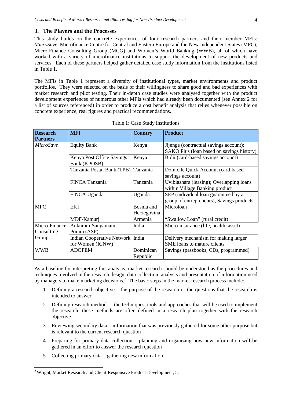#### **3. The Players and the Processes**

This study builds on the concrete experiences of four research partners and their member MFIs: *MicroSave,* Microfinance Centre for Central and Eastern Europe and the New Independent States (MFC), Micro-Finance Consulting Group (MCG) and Women's World Banking (WWB), all of which have worked with a variety of microfinance institutions to support the development of new products and services. Each of these partners helped gather detailed case study information from the institutions listed in Table 1.

The MFIs in Table 1 represent a diversity of institutional types, market environments and product portfolios. They were selected on the basis of their willingness to share good and bad experiences with market research and pilot testing. Their in-depth case studies were analysed together with the product development experiences of numerous other MFIs which had already been documented (see Annex 2 for a list of sources referenced) in order to produce a cost benefit analysis that relies whenever possible on concrete experience, real figures and practical recommendations.

| <b>Research</b> | <b>MFI</b>                 | <b>Country</b> | <b>Product</b>                            |
|-----------------|----------------------------|----------------|-------------------------------------------|
| <b>Partners</b> |                            |                |                                           |
| MicroSave       | <b>Equity Bank</b>         | Kenya          | Jijenge (contractual savings account);    |
|                 |                            |                | SAKO Plus (loan based on savings history) |
|                 | Kenya Post Office Savings  | Kenya          | Bidii (card-based savings account)        |
|                 | Bank (KPOSB)               |                |                                           |
|                 | Tanzania Postal Bank (TPB) | Tanzania       | Domicile Quick Account (card-based        |
|                 |                            |                | savings account)                          |
|                 | <b>FINCA Tanzania</b>      | Tanzania       | Uvibiashara (leasing); Overlapping loans  |
|                 |                            |                | within Village Banking product            |
|                 | FINCA Uganda               | Uganda         | SEP (individual loan guaranteed by a      |
|                 |                            |                | group of entrepreneurs), Savings products |
| <b>MFC</b>      | <b>EKI</b>                 | Bosnia and     | Microloan                                 |
|                 |                            | Herzegovina    |                                           |
|                 | MDF-Kamurj                 | Armenia        | "Swallow Loan" (rural credit)             |
| Micro-Finance   | Ankuram-Sangamam-          | India          | Micro-insurance (life, health, asset)     |
| Consulting      | Poram (ASP)                |                |                                           |
| Group           | Indian Cooperative Network | India          | Delivery mechanism for making larger      |
|                 | for Women (ICNW)           |                | SME loans to mature clients               |
| <b>WWB</b>      | <b>ADOPEM</b>              | Dominican      | Savings (passbooks, CDs, programmed)      |
|                 |                            | Republic       |                                           |

Table 1: Case Study Institutions

As a baseline for interpreting this analysis, market research should be understood as the procedures and techniques involved in the research design, data collection, analysis and presentation of information used by managers to make marketing decisions.<sup>[2](#page-3-0)</sup> The basic steps in the market research process include:

- 1. Defining a research objective the purpose of the research or the questions that the research is intended to answer
- 2. Defining research methods the techniques, tools and approaches that will be used to implement the research; these methods are often defined in a research plan together with the research objective
- 3. Reviewing secondary data information that was previously gathered for some other purpose but is relevant to the current research question
- 4. Preparing for primary data collection planning and organizing how new information will be gathered in an effort to answer the research question
- 5. Collecting primary data gathering new information

<span id="page-3-0"></span><sup>&</sup>lt;sup>2</sup> Wright, Market Research and Client-Responsive Product Development, 5.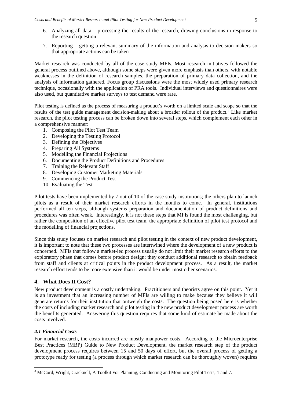- 6. Analyzing all data processing the results of the research, drawing conclusions in response to the research question
- 7. Reporting getting a relevant summary of the information and analysis to decision makers so that appropriate actions can be taken

Market research was conducted by all of the case study MFIs. Most research initiatives followed the general process outlined above, although some steps were given more emphasis than others, with notable weaknesses in the definition of research samples, the preparation of primary data collection, and the analysis of information gathered. Focus group discussions were the most widely used primary research technique, occasionally with the application of PRA tools. Individual interviews and questionnaires were also used, but quantitative market surveys to test demand were rare.

Pilot testing is defined as the process of measuring a product's worth on a limited scale and scope so that the results of the test guide management decision-making about a broader rollout of the product.<sup>[3](#page-4-0)</sup> Like market research, the pilot testing process can be broken down into several steps, which complement each other in a comprehensive manner:

- 1. Composing the Pilot Test Team
- 2. Developing the Testing Protocol
- 3. Defining the Objectives
- 4. Preparing All Systems
- 5. Modelling the Financial Projections
- 6. Documenting the Product Definitions and Procedures
- 7. Training the Relevant Staff
- 8. Developing Customer Marketing Materials
- 9. Commencing the Product Test
- 10. Evaluating the Test

Pilot tests have been implemented by 7 out of 10 of the case study institutions; the others plan to launch pilots as a result of their market research efforts in the months to come. In general, institutions performed all ten steps, although systems preparation and documentation of product definitions and procedures was often weak. Interestingly, it is not these steps that MFIs found the most challenging, but rather the composition of an effective pilot test team, the appropriate definition of pilot test protocol and the modelling of financial projections.

Since this study focuses on market research and pilot testing in the context of new product development, it is important to note that these two processes are intertwined where the development of a new product is concerned. MFIs that follow a market-led process usually do not limit their market research efforts to the exploratory phase that comes before product design; they conduct additional research to obtain feedback from staff and clients at critical points in the product development process. As a result, the market research effort tends to be more extensive than it would be under most other scenarios.

# **4. What Does It Cost?**

New product development is a costly undertaking. Practitioners and theorists agree on this point. Yet it is an investment that an increasing number of MFIs are willing to make because they believe it will generate returns for their institution that outweigh the costs. The question being posed here is whether the costs of including market research and pilot testing in the new product development process are worth the benefits generated. Answering this question requires that some kind of estimate be made about the costs involved.

## *4.1 Financial Costs*

For market research, the costs incurred are mostly manpower costs. According to the Microenterprise Best Practices (MBP) Guide to New Product Development, the market research step of the product development process requires between 15 and 50 days of effort, but the overall process of getting a prototype ready for testing (a process through which market research can be thoroughly woven) requires

<span id="page-4-0"></span><sup>&</sup>lt;sup>3</sup> McCord, Wright, Cracknell, A Toolkit For Planning, Conducting and Monitoring Pilot Tests, 1 and 7.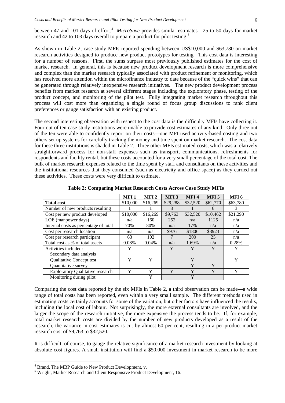between [4](#page-5-0)7 and 101 days of effort.<sup>4</sup> MicroSave provides similar estimates—25 to 50 days for market research and 42 to 103 days overall to prepare a product for pilot testing.<sup>[5](#page-5-1)</sup>

As shown in Table 2, case study MFIs reported spending between US\$10,000 and \$63,780 on market research activities designed to produce new product prototypes for testing. This cost data is interesting for a number of reasons. First, the sums surpass most previously published estimates for the cost of market research. In general, this is because new product development research is more comprehensive and complex than the market research typically associated with product refinement or monitoring, which has received more attention within the microfinance industry to date because of the "quick wins" that can be generated through relatively inexpensive research initiatives. The new product development process benefits from market research at several different stages including the exploratory phase, testing of the product concept, and monitoring of the pilot test. Fully integrating market research throughout this process will cost more than organizing a single round of focus group discussions to rank client preferences or gauge satisfaction with an existing product.

The second interesting observation with respect to the cost data is the difficulty MFIs have collecting it. Four out of ten case study institutions were unable to provide cost estimates of any kind. Only three out of the ten were able to confidently report on their costs—one MFI used activity-based costing and two others set up systems for carefully tracking the money and time spent on market research. The cost data for these three institutions is shaded in Table 2. Three other MFIs estimated costs, which was a relatively straightforward process for non-staff expenses such as transport, communications, refreshments for respondents and facility rental, but these costs accounted for a very small percentage of the total cost. The bulk of market research expenses related to the time spent by staff and consultants on these activities and the institutional resources that they consumed (such as electricity and office space) as they carried out these activities. These costs were very difficult to estimate.

|                                         | MFI <sub>1</sub> | MFI <sub>2</sub> | MFI <sub>3</sub> | MFI4       | MFI <sub>5</sub> | MFI <sub>6</sub> |
|-----------------------------------------|------------------|------------------|------------------|------------|------------------|------------------|
| <b>Total cost</b>                       | \$10,000         | \$16,269         | \$29,288         | \$32,520   | \$62,770         | \$63,780         |
| Number of new products resulting        |                  |                  | $\mathcal{F}$    |            | 6                | 3                |
| Cost per new product developed          | \$10,000         | \$16,269         | \$9,763          | \$32,520   | \$10,462         | \$21,290         |
| LOE (manpower days)                     | n/a              | 160              | 252              | n/a        | 1125             | n/a              |
| Internal costs as percentage of total   | 70%              | 80%              | n/a              | 17%        | n/a              | n/a              |
| Cost per research location              | n/a              | n/a              | \$976            | \$1806     | \$3923           | n/a              |
| Cost per research participant           | 63               | 102              |                  | <b>200</b> | 25               | n/a              |
| Total cost as % of total assets         | 0.08%            | 0.04%            | n/a              | 1.69%      | n/a              | 0.28%            |
| Activities included:                    | Y                |                  | Y                | Y          | Y                | Y                |
| Secondary data analysis                 |                  |                  |                  |            |                  |                  |
| <b>Oualitative Concept test</b>         | Y                | Y                |                  | Y          |                  | Y                |
| Quantitative survey                     |                  |                  |                  | Y          | Y                |                  |
| <b>Exploratory Qualitative research</b> | Y                | Y                | Y                | Y          | Y                | Y                |
| Monitoring during pilot                 |                  | Y                |                  | Y          |                  |                  |

**Table 2: Comparing Market Research Costs Across Case Study MFIs**

Comparing the cost data reported by the six MFIs in Table 2, a third observation can be made—a wide range of total costs has been reported, even within a very small sample. The different methods used in estimating costs certainly accounts for some of the variation, but other factors have influenced the results, including the local cost of labour. Not surprisingly, the more external consultants are involved, and the larger the scope of the research initiative, the more expensive the process tends to be. If, for example, total market research costs are divided by the number of new products developed as a result of the research, the variance in cost estimates is cut by almost 60 per cent, resulting in a per-product market research cost of \$9,763 to \$32,520.

It is difficult, of course, to gauge the relative significance of a market research investment by looking at absolute cost figures. A small institution will find a \$50,000 investment in market research to be more

<span id="page-5-0"></span> <sup>4</sup> Brand, The MBP Guide to New Product Development, v.

<span id="page-5-1"></span><sup>5</sup> Wright, Market Research and Client Responsive Product Development, 16.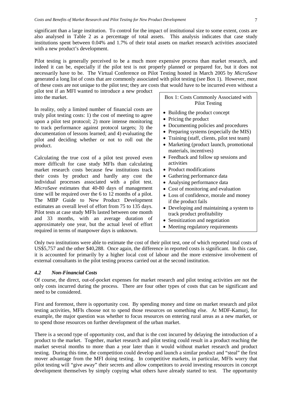significant than a large institution. To control for the impact of institutional size to some extent, costs are also analysed in Table 2 as a percentage of total assets. This analysis indicates that case study institutions spent between 0.04% and 1.7% of their total assets on market research activities associated with a new product's development.

Pilot testing is generally perceived to be a much more expensive process than market research, and indeed it can be, especially if the pilot test is not properly planned or prepared for, but it does not necessarily have to be. The Virtual Conference on Pilot Testing hosted in March 2005 by *MicroSave* generated a long list of costs that are commonly associated with pilot testing (see Box 1). However, most of these costs are not unique to the pilot test; they are costs that would have to be incurred even without a

pilot test if an MFI wanted to introduce a new product into the market.

In reality, only a limited number of financial costs are truly pilot testing costs: 1) the cost of meeting to agree upon a pilot test protocol; 2) more intense monitoring to track performance against protocol targets; 3) the documentation of lessons learned; and 4) evaluating the pilot and deciding whether or not to roll out the product.

Calculating the true cost of a pilot test proved even more difficult for case study MFIs than calculating market research costs because few institutions track their costs by product and hardly any cost the individual processes associated with a pilot test. *MicroSave* estimates that 40-80 days of management time will be required over the 6 to 12 months of a pilot. The MBP Guide to New Product Development estimates an overall level of effort from 75 to 135 days. Pilot tests at case study MFIs lasted between one month and 33 months, with an average duration of approximately one year, but the actual level of effort required in terms of manpower days is unknown.

Box 1: Costs Commonly Associated with Pilot Testing

- Building the product concept
- Pricing the product
- Documenting policies and procedures
- Preparing systems (especially the MIS)
- Training (staff, clients, pilot test team)
- Marketing (product launch, promotional materials, incentives)
- Feedback and follow up sessions and activities
- Product modifications
- Gathering performance data
- Analysing performance data
- Cost of monitoring and evaluation
- Loss of confidence, morale and money if the product fails
- Developing and maintaining a system to track product profitability
- Sensitization and negotiation
- Meeting regulatory requirements

Only two institutions were able to estimate the cost of their pilot test, one of which reported total costs of US\$5,757 and the other \$40,288. Once again, the difference in reported costs is significant. In this case, it is accounted for primarily by a higher local cost of labour and the more extensive involvement of external consultants in the pilot testing process carried out at the second institution.

#### *4.2 Non-Financial Costs*

Of course, the direct, out-of-pocket expenses for market research and pilot testing activities are not the only costs incurred during the process. There are four other types of costs that can be significant and need to be considered.

First and foremost, there is opportunity cost. By spending money and time on market research and pilot testing activities, MFIs choose not to spend those resources on something else. At MDF-Kamurj, for example, the major question was whether to focus resources on entering rural areas as a new market, or to spend those resources on further development of the urban market.

There is a second type of opportunity cost, and that is the cost incurred by delaying the introduction of a product to the market. Together, market research and pilot testing could result in a product reaching the market several months to more than a year later than it would without market research and product testing. During this time, the competition could develop and launch a similar product and "steal" the first mover advantage from the MFI doing testing. In competitive markets, in particular, MFIs worry that pilot testing will "give away" their secrets and allow competitors to avoid investing resources in concept development themselves by simply copying what others have already started to test. The opportunity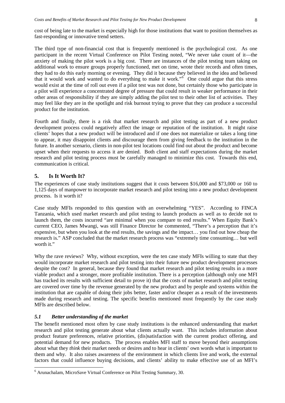cost of being late to the market is especially high for those institutions that want to position themselves as fast-responding or innovative trend setters.

The third type of non-financial cost that is frequently mentioned is the psychological cost. As one participant in the recent Virtual Conference on Pilot Testing noted, "We never take count of it—the anxiety of making the pilot work is a big cost. There are instances of the pilot testing team taking on additional work to ensure groups properly functioned, met on time, wrote their records and often times, they had to do this early morning or evening. They did it because they believed in the idea and believed that it would work and wanted to do everything to make it work."[6](#page-7-0) One could argue that this stress would exist at the time of roll out even if a pilot test was not done, but certainly those who participate in a pilot will experience a concentrated degree of pressure that could result in weaker performance in their other areas of responsibility if they are simply adding the pilot test to their other list of activities. They may feel like they are in the spotlight and risk burnout trying to prove that they can produce a successful product for the institution.

Fourth and finally, there is a risk that market research and pilot testing as part of a new product development process could negatively affect the image or reputation of the institution. It might raise clients' hopes that a new product will be introduced and if one does not materialize or takes a long time to appear, it may disappoint clients and discourage them from giving feedback to the institution in the future. In another scenario, clients in non-pilot test locations could find out about the product and become upset when their requests to access it are denied. Both client and staff expectations during the market research and pilot testing process must be carefully managed to minimize this cost. Towards this end, communication is critical.

#### **5. Is It Worth It?**

The experiences of case study institutions suggest that it costs between \$16,000 and \$73,000 or 160 to 1,125 days of manpower to incorporate market research and pilot testing into a new product development process. Is it worth it?

Case study MFIs responded to this question with an overwhelming "YES". According to FINCA Tanzania, which used market research and pilot testing to launch products as well as to decide not to launch them, the costs incurred "are minimal when you compare to end results." When Equity Bank's current CEO, James Mwangi, was still Finance Director he commented, "There's a perception that it's expensive, but when you look at the end results, the savings and the impact… you find out how cheap the research is." ASP concluded that the market research process was "extremely time consuming… but well worth it."

Why the rave reviews? Why, without exception, were the ten case study MFIs willing to state that they would incorporate market research and pilot testing into their future new product development processes despite the cost? In general, because they found that market research and pilot testing results in a more viable product and a stronger, more profitable institution. There is a perception (although only one MFI has tracked its results with sufficient detail to prove it) that the costs of market research and pilot testing are covered over time by the revenue generated by the new product and by people and systems within the institution that are capable of doing their jobs better, faster and/or cheaper as a result of the investments made during research and testing. The specific benefits mentioned most frequently by the case study MFIs are described below.

#### *5.1 Better understanding of the market*

The benefit mentioned most often by case study institutions is the enhanced understanding that market research and pilot testing generate about what clients actually want. This includes information about product feature preferences, relative priorities, (dis)satisfaction with the current product offering, and potential demand for new products. The process enables MFI staff to move beyond their assumptions about what they *think* their market needs or desires and to hear in clients' own words what is important to them and why. It also raises awareness of the environment in which clients live and work, the external factors that could influence buying decisions, and clients' ability to make effective use of an MFI's

<span id="page-7-0"></span> <sup>6</sup> Arunachalam, MicroSave Virtual Conference on Pilot Testing Summary, 30.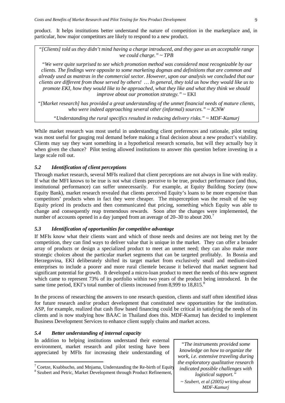product. It helps institutions better understand the nature of competition in the marketplace and, in particular, how major competitors are likely to respond to a new product.

*"[Clients] told us they didn't mind having a charge introduced, and they gave us an acceptable range we could charge." ~ TPB*

*"We were quite surprised to see which promotion method was considered most recognizable by our clients. The findings were opposite to some marketing dogmas and definitions that are common and already used as mantras in the commercial sector. However, upon our analysis we concluded that our clients are different from those served by others! … In general, they told us how they would like us to promote EKI, how they would like to be approached, what they like and what they think we should improve about our promotion strategy." ~* EKI

*"[Market research] has provided a great understanding of the unmet financial needs of mature clients, who were indeed approaching several other (informal) sources." ~ ICNW*

*"Understanding the rural specifics resulted in reducing delivery risks." ~ MDF-Kamurj*

While market research was most useful in understanding client preferences and rationale, pilot testing was most useful for gauging real demand before making a final decision about a new product's viability. Clients may say they want something in a hypothetical research scenario, but will they actually buy it when given the chance? Pilot testing allowed institutions to answer this question before investing in a large scale roll out.

## *5.2 Identification of client perceptions*

Through market research, several MFIs realized that client perceptions are not always in line with reality. If what the MFI knows to be true is not what clients perceive to be true, product performance (and thus, institutional performance) can suffer unnecessarily. For example, at Equity Building Society (now Equity Bank), market research revealed that clients perceived Equity's loans to be more expensive than competitors' products when in fact they were cheaper. The misperception was the result of the way Equity priced its products and then communicated that pricing, something which Equity was able to change and consequently reap tremendous rewards. Soon after the changes were implemented, the number of accounts opened in a day jumped from an average of 20–30 to about 200.<sup>[7](#page-8-0)</sup>

## *5.3 Identification of opportunities for competitive advantage*

If MFIs know what their clients want and which of those needs and desires are not being met by the competition, they can find ways to deliver value that is unique in the market. They can offer a broader array of products or design a specialized product to meet an unmet need; they can also make more strategic choices about the particular market segments that can be targeted profitably. In Bosnia and Herzegovina, EKI deliberately shifted its target market from exclusively small and medium-sized enterprises to include a poorer and more rural clientele because it believed that market segment had significant potential for growth. It developed a micro-loan product to meet the needs of this new segment which came to represent 73% of its portfolio within two years of the product being introduced. In the same time period, EKI's total number of clients increased from [8](#page-8-1),999 to 18,815.<sup>8</sup>

In the process of researching the answers to one research question, clients and staff often identified ideas for future research and/or product development that constituted new opportunities for the institution. ASP, for example, realized that cash flow based financing could be critical in satisfying the needs of its clients and is now studying how BAAC in Thailand does this. MDF-Kamurj has decided to implement Business Development Services to enhance client supply chains and market access.

## *5.4 Better understanding of internal capacity*

In addition to helping institutions understand their external environment, market research and pilot testing have been appreciated by MFIs for increasing their understanding of

*knowledge on how to organize the work, i.e. extensive traveling during the exploratory qualitative research indicated possible challenges with logistical support." ~ Szubert, et al (2005) writing about MDF-Kamurj*

*"The instruments provided some* 

<span id="page-8-0"></span><sup>&</sup>lt;sup>7</sup> Coetze, Ksabbucho, and Mnjama, Understanding the Re-birth of Equity  $8$  Szubert and Petric, Market Development through Product Refinement,

<span id="page-8-1"></span>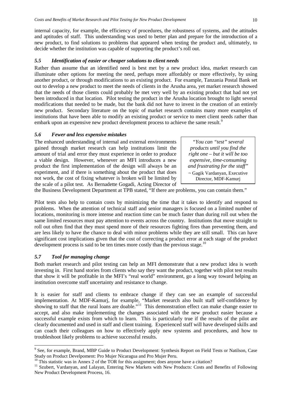internal capacity, for example, the efficiency of procedures, the robustness of systems, and the attitudes and aptitudes of staff. This understanding was used to better plan and prepare for the introduction of a new product, to find solutions to problems that appeared when testing the product and, ultimately, to decide whether the institution was capable of supporting the product's roll out.

## *5.5 Identification of easier or cheaper solutions to client needs*

Rather than assume that an identified need is best met by a new product idea, market research can illuminate other options for meeting the need, perhaps more affordably or more effectively, by using another product, or through modifications to an existing product. For example, Tanzania Postal Bank set out to develop a new product to meet the needs of clients in the Arusha area, yet market research showed that the needs of those clients could probably be met very well by an existing product that had not yet been introduced in that location. Pilot testing the product in the Arusha location brought to light several modifications that needed to be made, but the bank did not have to invest in the creation of an entirely new product. Secondary literature on the topic of market research contains many more examples of institutions that have been able to modify an existing product or service to meet client needs rather than embark upon an expensive new product development process to achieve the same result.<sup>[9](#page-9-0)</sup>

## *5.6 Fewer and less expensive mistakes*

The enhanced understanding of internal and external environments gained through market research can help institutions limit the amount of trial and error they must experience in order to produce a viable design. However, whenever an MFI introduces a new product the first implementation of the design will always be an experiment, and if there is something about the product that does not work, the cost of fixing whatever is broken will be limited by the scale of a pilot test. As Bernadette Gogadi, Acting Director of

*"You can "test" several products until you find the right one – but it will be too expensive, time-consuming and frustrating for the staff"* ~ Gagik Vardanyan, Executive Director, MDF-Kamurj

the Business Development Department at TPB stated, "If there are problems, you can contain them."

Pilot tests also help to contain costs by minimizing the time that it takes to identify and respond to problems. When the attention of technical staff and senior managers is focused on a limited number of locations, monitoring is more intense and reaction time can be much faster than during roll out when the same limited resources must pay attention to events across the country. Institutions that move straight to roll out often find that they must spend more of their resources fighting fires than preventing them, and are less likely to have the chance to deal with minor problems while they are still small. This can have significant cost implications given that the cost of correcting a product error at each stage of the product development process is said to be ten times more costly than the previous stage.<sup>[10](#page-9-1)</sup>

#### *5.7 Tool for managing change*

Both market research and pilot testing can help an MFI demonstrate that a new product idea is worth investing in. First hand stories from clients who say they want the product, together with pilot test results that show it will be profitable in the MFI's "real world" environment, go a long way toward helping an institution overcome staff uncertainty and resistance to change.

It is easier for staff and clients to embrace change if they can see an example of successful implementation. At MDF-Kamurj, for example, "Market research also built staff self-confidence by showing to staff that the rural loans are doable."<sup>[11](#page-9-2)</sup> This demonstration effect can make change easier to accept, and also make implementing the changes associated with the new product easier because a successful example exists from which to learn. This is particularly true if the results of the pilot are clearly documented and used in staff and client training. Experienced staff will have developed skills and can coach their colleagues on how to effectively apply new systems and procedures, and how to troubleshoot likely problems to achieve successful results.

<span id="page-9-0"></span><sup>&</sup>lt;sup>9</sup> See, for example, Brand, MBP Guide to Product Development: Synthesis Report on Field Tests or Natilson, Case Study on Product Develpoment: Pro Mujer Nicaragua and Pro Mujer Peru.<br><sup>10</sup> This statistic was in Annex 2 of the TOR for this assignment; does anyone have a citation?

<span id="page-9-2"></span><span id="page-9-1"></span><sup>&</sup>lt;sup>11</sup> Szubert, Vardanyan, and Lalayan, Entering New Markets with New Products: Costs and Benefits of Following New Product Development Process, 16.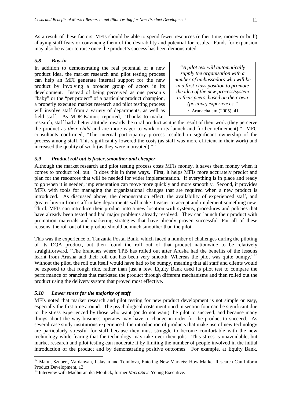As a result of these factors, MFIs should be able to spend fewer resources (either time, money or both) allaying staff fears or convincing them of the desirability and potential for results. Funds for expansion may also be easier to raise once the product's success has been demonstrated.

## *5.8 Buy-in*

In addition to demonstrating the real potential of a new product idea, the market research and pilot testing process can help an MFI generate internal support for the new product by involving a broader group of actors in its development. Instead of being perceived as one person's "baby" or the "pet project" of a particular product champion, a properly executed market research and pilot testing process will involve staff from a variety of departments, as well as field staff. As MDF-Kamurj reported, "Thanks to market

*"A pilot test will automatically supply the organisation with a number of ambassadors who will be in a first-class position to promote the idea of the new process/system to their peers, based on their own (positive) experiences."*  $\sim$  Arunachalam (2005), 41

research, staff had a better attitude towards the rural product as it is the result of their work (they perceive the product as *their child* and are more eager to work on its launch and further refinement)." MFC consultants confirmed, "The internal participatory process resulted in significant ownership of the process among staff. This significantly lowered the costs (as staff was more efficient in their work) and increased the quality of work (as they were motivated)."[12](#page-10-0)

#### *5.9 Product roll out is faster, smoother and cheaper*

Although the market research and pilot testing process costs MFIs money, it saves them money when it comes to product roll out. It does this in three ways. First, it helps MFIs more accurately predict and plan for the resources that will be needed for wider implementation. If everything is in place and ready to go when it is needed, implementation can move more quickly and more smoothly. Second, it provides MFIs with tools for managing the organizational changes that are required when a new product is introduced. As discussed above, the demonstration effect, the availability of experienced staff, and greater buy-in from staff in key departments will make it easier to accept and implement something new. Third, MFIs can introduce their product into a new location with systems, procedures and policies that have already been tested and had major problems already resolved. They can launch their product with promotion materials and marketing strategies that have already proven successful. For all of these reasons, the roll out of the product should be much smoother than the pilot.

This was the experience of Tanzania Postal Bank, which faced a number of challenges during the piloting of its DQA product, but then found the roll out of that product nationwide to be relatively straightforward. "The branches where TPB has rolled out after Arusha had the benefits of the lessons learnt from Arusha and their roll out has been very smooth. Whereas the pilot was quite bumpy."<sup>[13](#page-10-1)</sup> Without the pilot, the roll out itself would have had to be bumpy, meaning that all staff and clients would be exposed to that rough ride, rather than just a few. Equity Bank used its pilot test to compare the performance of branches that marketed the product through different mechanisms and then rolled out the product using the delivery system that proved most effective.

## *5.10 Lower stress for the majority of staff*

MFIs noted that market research and pilot testing for new product development is not simple or easy, especially the first time around. The psychological costs mentioned in section four can be significant due to the stress experienced by those who want (or do not want) the pilot to succeed, and because many things about the way business operates may have to change in order for the product to succeed. As several case study institutions experienced, the introduction of products that make use of new technology are particularly stressful for staff because they must struggle to become comfortable with the new technology while fearing that the technology may take over their jobs. This stress is unavoidable, but market research and pilot testing can moderate it by limiting the number of people involved in the initial introduction of the product and by demonstrating positive outcomes. For example, at Equity Bank,

<span id="page-10-0"></span><sup>&</sup>lt;sup>12</sup> Matul, Szubert, Vardanyan, Lalayan and Tomilova, Entering New Markets: How Market Research Can Inform Product Development, 13.

<span id="page-10-1"></span><sup>&</sup>lt;sup>13</sup> Interview with Madhurantika Moulick, former *MicroSave* Young Executive.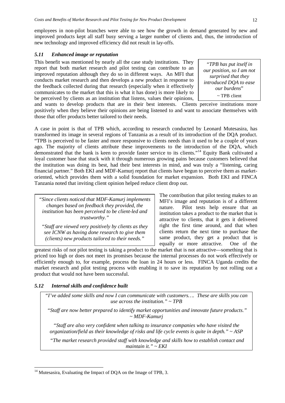employees in non-pilot branches were able to see how the growth in demand generated by new and improved products kept all staff busy serving a larger number of clients and, thus, the introduction of new technology and improved efficiency did not result in lay-offs.

#### *5.11 Enhanced image or reputation*

This benefit was mentioned by nearly all the case study institutions. They report that both market research and pilot testing can contribute to an improved reputation although they do so in different ways. An MFI that conducts market research and then develops a new product in response to the feedback collected during that research (especially when it effectively communicates to the market that this is what it has done) is more likely to be perceived by clients as an institution that listens, values their opinions,

*"TPB has put itself in our position, so I am not surprised that they introduced DQA to ease our burdens*" ~ TPB client

and wants to develop products that are in their best interests. Clients perceive institutions more positively when they believe their opinions are being listened to and want to associate themselves with those that offer products better tailored to their needs.

A case in point is that of TPB which, according to research conducted by Leonard Mutesasira, has transformed its image in several regions of Tanzania as a result of its introduction of the DQA product. "TPB is perceived to be faster and more responsive to clients needs than it used to be a couple of years ago. The majority of clients attribute these improvements to the introduction of the DQA, which demonstrated that the bank is keen to provide faster service to its clients."<sup>[14](#page-11-0)</sup> Equity Bank cultivated a loyal customer base that stuck with it through numerous growing pains because customers believed that the institution was doing its best, had their best interests in mind, and was truly a "listening, caring financial partner." Both EKI and MDF-Kamurj report that clients have begun to perceive them as marketoriented, which provides them with a solid foundation for market expansion. Both EKI and FINCA Tanzania noted that inviting client opinion helped reduce client drop out.

*"Since clients noticed that MDF-Kamurj implements changes based on feedback they provided, the institution has been perceived to be client-led and trustworthy."*

*"Staff are viewed very positively by clients as they see ICNW as having done research to give them (clients) new products tailored to their needs."*

The contribution that pilot testing makes to an MFI's image and reputation is of a different nature. Pilot tests help ensure that an institution takes a product to the market that is attractive to clients, that it gets it delivered right the first time around, and that when clients return the next time to purchase the same product, they get a product that is equally or more attractive. One of the

greatest risks of not pilot testing is taking a product to the market that is not attractive—something that is priced too high or does not meet its promises because the internal processes do not work effectively or efficiently enough to, for example, process the loan in 24 hours or less. FINCA Uganda credits the market research and pilot testing process with enabling it to save its reputation by not rolling out a product that would not have been successful.

## *5.12 Internal skills and confidence built*

*"I've added some skills and now I can communicate with customers…. These are skills you can use across the institution." ~ TPB*

*"Staff are now better prepared to identify market opportunities and innovate future products." ~ MDF-Kamurj*

*"Staff are also very confident when talking to insurance companies who have visited the organization/field as their knowledge of risks and life cycle events is quite in depth." ~ ASP*

*"The market research provided staff with knowledge and skills how to establish contact and maintain it." ~ EKI*

<span id="page-11-0"></span> $14$  Mutesasira, Evaluating the Impact of DQA on the Image of TPB, 3.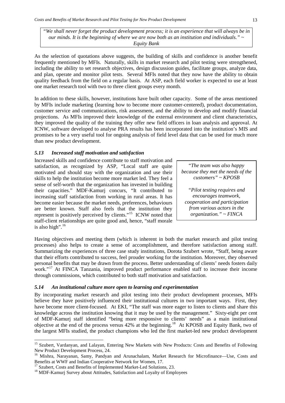*"We shall never forget the product development process; it is an experience that will always be in our minds. It is the beginning of where we are now both as an institution and individuals." ~ Equity Bank*

As the selection of quotations above suggests, the building of skills and confidence is another benefit frequently mentioned by MFIs. Naturally, skills in market research and pilot testing were strengthened, including the ability to set research objectives, design discussion guides, facilitate groups, analyze data, and plan, operate and monitor pilot tests. Several MFIs noted that they now have the ability to obtain quality feedback from the field on a regular basis. At ASP, each field worker is expected to use at least one market research tool with two to three client groups every month.

In addition to these skills, however, institutions have built other capacity. Some of the areas mentioned by MFIs include marketing (learning how to become more customer-centered), product documentation, customer service and communications, risk assessment, and the ability to develop and modify financial projections. As MFIs improved their knowledge of the external environment and client characteristics, they improved the quality of the training they offer new field officers in loan analysis and approval. At ICNW, software developed to analyse PRA results has been incorporated into the institution's MIS and promises to be a very useful tool for ongoing analysis of field level data that can be used for much more than new product development.

## *5.13 Increased staff motivation and satisfaction*

Increased skills and confidence contribute to staff motivation and satisfaction, as recognized by ASP, "Local staff are quite motivated and should stay with the organization and use their skills to help the institution become more market led. They feel a sense of self-worth that the organization has invested in building their capacities." MDF-Kamurj concurs, "It contributed to increasing staff satisfaction from working in rural areas. It has become easier because the market needs, preferences, behaviours are better known. Staff also feels that the institution they represent is positively perceived by clients."[15](#page-12-0) ICNW noted that staff-client relationships are quite good and, hence, "staff morale is also high".  $16$ 

"*The team was also happy because they met the needs of the customers" ~ KPOSB*

*"Pilot testing requires and encourages teamwork, cooperation and participation from various actors in the organization." ~ FINCA* 

Having objectives and meeting them (which is inherent in both the market research and pilot testing processes) also helps to create a sense of accomplishment, and therefore satisfaction among staff. Summarizing the experiences of three case study institutions, Dorota Szubert wrote, "Staff, being aware that their efforts contributed to success, feel prouder working for the institution. Moreover, they observed personal benefits that may be drawn from the process. Better understanding of clients' needs fosters daily work."<sup>[17](#page-12-2)</sup> At FINCA Tanzania, improved product performance enabled staff to increase their income through commissions, which contributed to both staff motivation and satisfaction.

#### *5.14 An institutional culture more open to learning and experimentation*

By incorporating market research and pilot testing into their product development processes, MFIs believe they have positively influenced their institutional cultures in two important ways. First, they have become more client-focused. At EKI, "The staff was more eager to listen to clients and share this knowledge across the institution knowing that it may be used by the management." Sixty-eight per cent of MDF-Kamurj staff identified "being more responsive to clients' needs" as a main institutional objective at the end of the process versus 42% at the beginning.<sup>[18](#page-12-3)</sup> At KPOSB and Equity Bank, two of the largest MFIs studied, the product champions who led the first market-led new product development

<span id="page-12-0"></span><sup>&</sup>lt;sup>15</sup> Szubert, Vardanyan, and Lalayan, Entering New Markets with New Products: Costs and Benefits of Following New Product Development Process, 24.

<span id="page-12-1"></span><sup>&</sup>lt;sup>16</sup> Mishra, Narayanan, Samy, Pandyan and Arunachalam, Market Research for Microfinance—Use, Costs and Benefits at WWF and Indian Cooperative Network for Women, 17.<br><sup>17</sup> Szubert, Costs and Benefits of Implemented Market-Led Solutions, 23.

<span id="page-12-3"></span><span id="page-12-2"></span><sup>&</sup>lt;sup>18</sup> MDF-Kamurj Survey about Attitudes, Satisfaction and Loyalty of Employees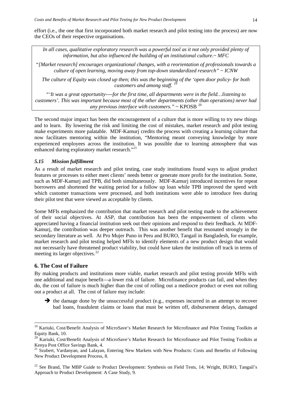effort (i.e., the one that first incorporated both market research and pilot testing into the process) are now the CEOs of their respective organisations.

*In all cases, qualitative exploratory research was a powerful tool as it not only provided plenty of information, but also influenced the building of an institutional culture.~ MFC*

*"[Market research] encourages organizational changes, with a reorientation of professionals towards a culture of open learning, moving away from top-down standardized research" ~ ICNW*

*The culture of Equity was closed up then; this was the beginning of the 'open door policy- for both customers and among staff.* 

*"'It was a great opportunity----for the first time, all departments were in the field…listening to customers'. This was important because most of the other departments (other than operations) never had any previous interface with customers.*"  $\sim$  KPOSB  $^{20}$  $^{20}$  $^{20}$ 

The second major impact has been the encouragement of a culture that is more willing to try new things and to learn. By lowering the risk and limiting the cost of mistakes, market research and pilot testing make experiments more palatable. MDF-Kamurj credits the process with creating a learning culture that now facilitates mentoring within the institution, "Mentoring meant conveying knowledge by more experienced employees across the institution. It was possible due to learning atmosphere that was enhanced during exploratory market research."<sup>[21](#page-13-2)</sup>

## *5.15 Mission fulfillment*

As a result of market research and pilot testing, case study institutions found ways to adjust product features or processes to either meet clients' needs better or generate more profit for the institution. Some, such as MDF-Kamurj and TPB, did both simultaneously. MDF-Kamurj introduced incentives for repeat borrowers and shortened the waiting period for a follow up loan while TPB improved the speed with which customer transactions were processed, and both institutions were able to introduce fees during their pilot test that were viewed as acceptable by clients.

Some MFIs emphasized the contribution that market research and pilot testing made to the achievement of their social objectives. At ASP, that contribution has been the empowerment of clients who appreciated having a financial institution seek out their opinions and respond to their feedback. At MDF-Kamurj, the contribution was deeper outreach. This was another benefit that resonated strongly in the secondary literature as well. At Pro Mujer Puno in Peru and BURO, Tangail in Bangladesh, for example, market research and pilot testing helped MFIs to identify elements of a new product design that would not necessarily have threatened product viability, but could have taken the institution off track in terms of meeting its larger objectives.<sup>[22](#page-13-3)</sup>

## **6. The Cost of Failure**

By making products and institutions more viable, market research and pilot testing provide MFIs with one additional and major benefit—a lower risk of failure. Microfinance products can fail, and when they do, the cost of failure is much higher than the cost of rolling out a mediocre product or even not rolling out a product at all. The cost of failure may include:

 $\rightarrow$  the damage done by the unsuccessful product (e.g., expenses incurred in an attempt to recover bad loans, fraudulent claims or loans that must be written off, disbursement delays, damaged

<span id="page-13-0"></span> <sup>19</sup> Kariuki, Cost/Benefit Analysis of MicroSave's Market Research for Microfinance and Pilot Testing Toolkits at Equity Bank, 10.

<span id="page-13-1"></span><sup>&</sup>lt;sup>20</sup> Kariuki, Cost/Benefit Analysis of MicroSave's Market Research for Microfinance and Pilot Testing Toolkits at Kenya Post Office Savings Bank, 4.

<span id="page-13-2"></span><sup>&</sup>lt;sup>21</sup> Szubert, Vardanyan, and Lalayan, Entering New Markets with New Products: Costs and Benefits of Following New Product Development Process, 8.

<span id="page-13-3"></span><sup>&</sup>lt;sup>22</sup> See Brand, The MBP Guide to Product Development: Synthesis on Field Tests, 14; Wright, BURO, Tangail's Approach to Product Development: A Case Study, 9.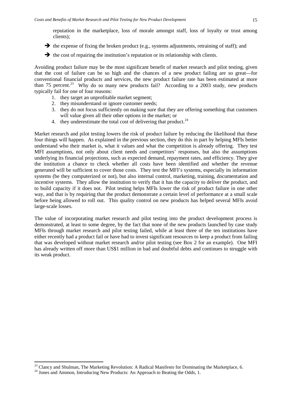reputation in the marketplace, loss of morale amongst staff, loss of loyalty or trust among clients);

 $\rightarrow$  the expense of fixing the broken product (e.g., systems adjustments, retraining of staff); and

 $\rightarrow$  the cost of repairing the institution's reputation or its relationship with clients.

Avoiding product failure may be the most significant benefit of market research and pilot testing, given that the cost of failure can be so high and the chances of a new product failing are so great—for conventional financial products and services, the new product failure rate has been estimated at more than 75 percent.<sup>[23](#page-14-0)</sup> Why do so many new products fail? According to a 2003 study, new products typically fail for one of four reasons:

- 1. they target an unprofitable market segment;
- 2. they misunderstand or ignore customer needs;
- 3. they do not focus sufficiently on making sure that they are offering something that customers will value given all their other options in the market; or
- 4. they underestimate the total cost of delivering that product.<sup>[24](#page-14-1)</sup>

Market research and pilot testing lowers the risk of product failure by reducing the likelihood that these four things will happen. As explained in the previous section, they do this in part by helping MFIs better understand who their market is, what it values and what the competition is already offering. They test MFI assumptions, not only about client needs and competitors' responses, but also the assumptions underlying its financial projections, such as expected demand, repayment rates, and efficiency. They give the institution a chance to check whether all costs have been identified and whether the revenue generated will be sufficient to cover those costs. They test the MFI's systems, especially its information systems (be they computerized or not), but also internal control, marketing, training, documentation and incentive systems. They allow the institution to verify that it has the capacity to deliver the product, and to build capacity if it does not. Pilot testing helps MFIs lower the risk of product failure in one other way, and that is by requiring that the product demonstrate a certain level of performance at a small scale before being allowed to roll out. This quality control on new products has helped several MFIs avoid large-scale losses.

The value of incorporating market research and pilot testing into the product development process is demonstrated, at least to some degree, by the fact that none of the new products launched by case study MFIs through market research and pilot testing failed, while at least three of the ten institutions have either recently had a product fail or have had to invest significant resources to keep a product from failing that was developed without market research and/or pilot testing (see Box 2 for an example). One MFI has already written off more than US\$1 million in bad and doubtful debts and continues to struggle with its weak product.

<span id="page-14-1"></span><span id="page-14-0"></span><sup>&</sup>lt;sup>23</sup> Clancy and Shulman, The Marketing Revolution: A Radical Manifesto for Dominating the Marketplace, 6.<br><sup>24</sup> Jones and Ammon, Introducing New Products: An Approach to Beating the Odds, 1.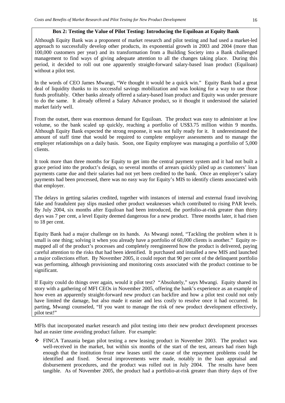#### **Box 2: Testing the Value of Pilot Testing: Introducing the Equiloan at Equity Bank**

Although Equity Bank was a proponent of market research and pilot testing and had used a market-led approach to successfully develop other products, its exponential growth in 2003 and 2004 (more than 100,000 customers per year) and its transformation from a Building Society into a Bank challenged management to find ways of giving adequate attention to all the changes taking place. During this period, it decided to roll out one apparently straight-forward salary-based loan product (Equiloan) without a pilot test.

In the words of CEO James Mwangi, "We thought it would be a quick win." Equity Bank had a great deal of liquidity thanks to its successful savings mobilization and was looking for a way to use those funds profitably. Other banks already offered a salary-based loan product and Equity was under pressure to do the same. It already offered a Salary Advance product, so it thought it understood the salaried market fairly well.

From the outset, there was enormous demand for Equiloan. The product was easy to administer at low volume, so the bank scaled up quickly, reaching a portfolio of US\$3.75 million within 9 months. Although Equity Bank expected the strong response, it was not fully ready for it. It underestimated the amount of staff time that would be required to complete employer assessments and to manage the employer relationships on a daily basis. Soon, one Equity employee was managing a portfolio of 5,000 clients.

It took more than three months for Equity to get into the central payment system and it had not built a grace period into the product's design, so several months of arrears quickly piled up as customers' loan payments came due and their salaries had not yet been credited to the bank. Once an employer's salary payments had been processed, there was no easy way for Equity's MIS to identify clients associated with that employer.

The delays in getting salaries credited, together with instances of internal and external fraud involving fake and fraudulent pay slips masked other product weaknesses which contributed to rising PAR levels. By July 2004, six months after Equiloan had been introduced, the portfolio-at-risk greater than thirty days was 7 per cent, a level Equity deemed dangerous for a new product. Three months later, it had risen to 18 per cent.

Equity Bank had a major challenge on its hands. As Mwangi noted, "Tackling the problem when it is small is one thing; solving it when you already have a portfolio of 60,000 clients is another." Equity remapped all of the product's processes and completely reengineered how the product is delivered, paying careful attention to the risks that had been identified. It purchased and installed a new MIS and launched a major collections effort. By November 2005, it could report that 90 per cent of the delinquent portfolio was performing, although provisioning and monitoring costs associated with the product continue to be significant.

If Equity could do things over again, would it pilot test? "Absolutely," says Mwangi. Equity shared its story with a gathering of MFI CEOs in November 2005, offering the bank's experience as an example of how even an apparently straight-forward new product can backfire and how a pilot test could not only have limited the damage, but also made it easier and less costly to resolve once it had occurred. In parting, Mwangi counseled, "If you want to manage the risk of new product development effectively, pilot test!"

MFIs that incorporated market research and pilot testing into their new product development processes had an easier time avoiding product failure. For example:

 FINCA Tanzania began pilot testing a new leasing product in November 2003. The product was well-received in the market, but within six months of the start of the test, arrears had risen high enough that the institution froze new leases until the cause of the repayment problems could be identified and fixed. Several improvements were made, notably in the loan appraisal and disbursement procedures, and the product was rolled out in July 2004. The results have been tangible. As of November 2005, the product had a portfolio-at-risk greater than thirty days of five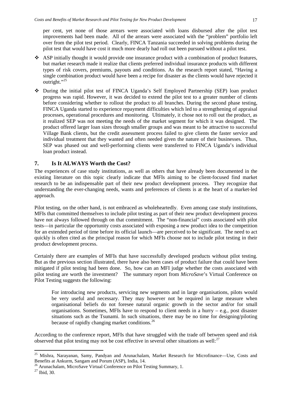per cent, yet none of those arrears were associated with loans disbursed after the pilot test improvements had been made. All of the arrears were associated with the "problem" portfolio left over from the pilot test period. Clearly, FINCA Tanzania succeeded in solving problems during the pilot test that would have cost it much more dearly had roll out been pursued without a pilot test.

- ASP initially thought it would provide one insurance product with a combination of product features, but market research made it realize that clients preferred individual insurance products with different types of risk covers, premiums, payouts and conditions. As the research report stated, "Having a single combination product would have been a recipe for disaster as the clients would have rejected it outright."<sup>[25](#page-16-0)</sup>
- During the initial pilot test of FINCA Uganda's Self Employed Partnership (SEP) loan product progress was rapid. However, it was decided to extend the pilot test to a greater number of clients before considering whether to rollout the product to all branches. During the second phase testing, FINCA Uganda started to experience repayment difficulties which led to a strengthening of appraisal processes, operational procedures and monitoring. Ultimately, it chose not to roll out the product, as it realized SEP was not meeting the needs of the market segment for which it was designed. The product offered larger loan sizes through smaller groups and was meant to be attractive to successful Village Bank clients, but the credit assessment process failed to give clients the faster service and individual treatment that they wanted and often needed given the nature of their businesses. Thus, SEP was phased out and well-performing clients were transferred to FINCA Uganda's individual loan product instead.

## **7. Is It ALWAYS Worth the Cost?**

The experiences of case study institutions, as well as others that have already been documented in the existing literature on this topic clearly indicate that MFIs aiming to be client-focused find market research to be an indispensable part of their new product development process. They recognize that understanding the ever-changing needs, wants and preferences of clients is at the heart of a market-led approach.

Pilot testing, on the other hand, is not embraced as wholeheartedly. Even among case study institutions, MFIs that committed themselves to include pilot testing as part of their new product development process have not always followed through on that commitment. The "non-financial" costs associated with pilot tests—in particular the opportunity costs associated with exposing a new product idea to the competition for an extended period of time before its official launch—are perceived to be significant. The need to act quickly is often cited as the principal reason for which MFIs choose not to include pilot testing in their product development process.

Certainly there are examples of MFIs that have successfully developed products without pilot testing. But as the previous section illustrated, there have also been cases of product failure that could have been mitigated if pilot testing had been done. So, how can an MFI judge whether the costs associated with pilot testing are worth the investment? The summary report from *MicroSave*'s Virtual Conference on Pilot Testing suggests the following:

For introducing new products, servicing new segments and in large organisations, pilots would be very useful and necessary. They may however not be required in large measure when organisational beliefs do not foresee natural organic growth in the sector and/or for small organisations. Sometimes, MFIs have to respond to client needs in a hurry – e.g., post disaster situations such as the Tsunami. In such situations, there may be no time for designing/piloting because of rapidly changing market conditions.<sup>[26](#page-16-1)</sup>

According to the conference report, MFIs that have struggled with the trade off between speed and risk observed that pilot testing may not be cost effective in several other situations as well: $^{27}$  $^{27}$  $^{27}$ 

<span id="page-16-0"></span><sup>&</sup>lt;sup>25</sup> Mishra, Narayanan, Samy, Pandyan and Arunachalam, Market Research for Microfinance—Use, Costs and Benefits at Ankurm, Sangam and Porum (ASP), India, 14.

<sup>&</sup>lt;sup>26</sup> Arunachalam, MicroSave Virtual Conference on Pilot Testing Summary, 1.

<span id="page-16-2"></span><span id="page-16-1"></span><sup>27</sup> Ibid, 30.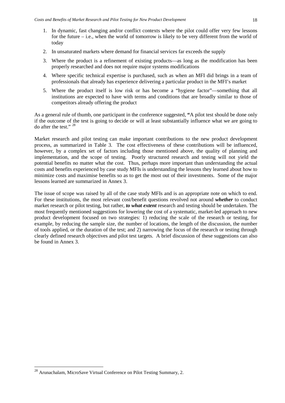- 1. In dynamic, fast changing and/or conflict contexts where the pilot could offer very few lessons for the future – i.e., when the world of tomorrow is likely to be very different from the world of today
- 2. In unsaturated markets where demand for financial services far exceeds the supply
- 3. Where the product is a refinement of existing products—as long as the modification has been properly researched and does not require major systems modifications
- 4. Where specific technical expertise is purchased, such as when an MFI did brings in a team of professionals that already has experience delivering a particular product in the MFI's market
- 5. Where the product itself is low risk or has become a "hygiene factor"—something that all institutions are expected to have with terms and conditions that are broadly similar to those of competitors already offering the product

As a general rule of thumb, one participant in the conference suggested, **"**A pilot test should be done only if the outcome of the test is going to decide or will at least substantially influence what we are going to do after the test." [28](#page-17-0)

Market research and pilot testing can make important contributions to the new product development process, as summarized in Table 3. The cost effectiveness of these contributions will be influenced, however, by a complex set of factors including those mentioned above, the quality of planning and implementation, and the scope of testing. Poorly structured research and testing will not yield the potential benefits no matter what the cost. Thus, perhaps more important than understanding the actual costs and benefits experienced by case study MFIs is understanding the lessons they learned about how to minimize costs and maximise benefits so as to get the most out of their investments. Some of the major lessons learned are summarized in Annex 3.

The issue of scope was raised by all of the case study MFIs and is an appropriate note on which to end. For these institutions, the most relevant cost/benefit questions revolved not around *whether* to conduct market research or pilot testing, but rather, *to what extent* research and testing should be undertaken. The most frequently mentioned suggestions for lowering the cost of a systematic, market-led approach to new product development focused on two strategies: 1) reducing the scale of the research or testing, for example, by reducing the sample size, the number of locations, the length of the discussion, the number of tools applied, or the duration of the test; and 2) narrowing the focus of the research or testing through clearly defined research objectives and pilot test targets. A brief discussion of these suggestions can also be found in Annex 3.

<span id="page-17-0"></span><sup>&</sup>lt;sup>28</sup> Arunachalam, MicroSave Virtual Conference on Pilot Testing Summary, 2.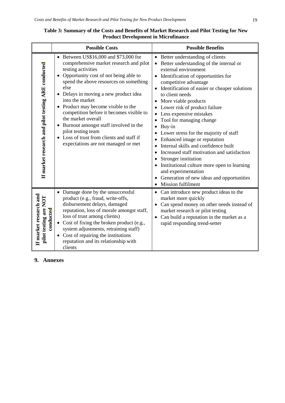|                                                              | <b>Possible Costs</b>                                                                                                                                                                                                                                                                                                                                                                                                                                                                                                                             | <b>Possible Benefits</b>                                                                                                                                                                                                                                                                                                                                                                                                                                                                                                                                                                                                                                                                                                |  |  |
|--------------------------------------------------------------|---------------------------------------------------------------------------------------------------------------------------------------------------------------------------------------------------------------------------------------------------------------------------------------------------------------------------------------------------------------------------------------------------------------------------------------------------------------------------------------------------------------------------------------------------|-------------------------------------------------------------------------------------------------------------------------------------------------------------------------------------------------------------------------------------------------------------------------------------------------------------------------------------------------------------------------------------------------------------------------------------------------------------------------------------------------------------------------------------------------------------------------------------------------------------------------------------------------------------------------------------------------------------------------|--|--|
| If market research and pilot testing ARE conducted           | • Between US\$16,000 and \$73,000 for<br>comprehensive market research and pilot<br>testing activities<br>Opportunity cost of not being able to<br>$\bullet$<br>spend the above resources on something<br>else<br>• Delays in moving a new product idea<br>into the market<br>Product may become visible to the<br>competition before it becomes visible to<br>the market overall<br>Burnout amongst staff involved in the<br>$\bullet$<br>pilot testing team<br>• Loss of trust from clients and staff if<br>expectations are not managed or met | • Better understanding of clients<br>• Better understanding of the internal or<br>external environment<br>• Identification of opportunities for<br>competitive advantage<br>• Identification of easier or cheaper solutions<br>to client needs<br>More viable products<br>Lower risk of product failure<br>Less expensive mistakes<br>Tool for managing change<br>Buy-in<br>$\bullet$<br>Lower stress for the majority of staff<br>Enhanced image or reputation<br>Internal skills and confidence built<br>Increased staff motivation and satisfaction<br>Stronger institution<br>Institutional culture more open to learning<br>and experimentation<br>Generation of new ideas and opportunities<br>Mission fulfilment |  |  |
| If market research and<br>pilot testing are NOT<br>conducted | • Damage done by the unsuccessful<br>product (e.g., fraud, write-offs,<br>disbursement delays, damaged<br>reputation, loss of morale amongst staff,<br>loss of trust among clients)<br>• Cost of fixing the broken product (e.g.,<br>system adjustments, retraining staff)<br>• Cost of repairing the institutions<br>reputation and its relationship with<br>clients                                                                                                                                                                             | • Can introduce new product ideas to the<br>market more quickly<br>Can spend money on other needs instead of<br>market research or pilot testing<br>Can build a reputation in the market as a<br>rapid responding trend-setter                                                                                                                                                                                                                                                                                                                                                                                                                                                                                          |  |  |
| 9. Annexes                                                   |                                                                                                                                                                                                                                                                                                                                                                                                                                                                                                                                                   |                                                                                                                                                                                                                                                                                                                                                                                                                                                                                                                                                                                                                                                                                                                         |  |  |

# **Table 3: Summary of the Costs and Benefits of Market Research and Pilot Testing for New Product Development in Microfinance**

# 9. Annexes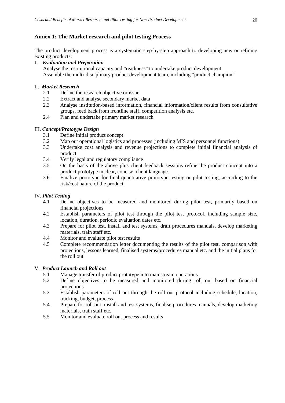# **Annex 1: The Market research and pilot testing Process**

The product development process is a systematic step-by-step approach to developing new or refining existing products:

## I. *Evaluation and Preparation*

Analyse the institutional capacity and "readiness" to undertake product development Assemble the multi-disciplinary product development team, including "product champion"

## II. *Market Research*

- 2.1 Define the research objective or issue<br>2.2 Extract and analyse secondary market
- 2.2 Extract and analyse secondary market data<br>2.3 Analyse institution-based information, final
- 2.3 Analyse institution-based information, financial information/client results from consultative groups, feed back from frontline staff, competition analysis etc.
- 2.4 Plan and undertake primary market research

## III. *Concept/Prototype Design*

- 3.1 Define initial product concept
- 3.2 Map out operational logistics and processes (including MIS and personnel functions)<br>3.3 Undertake cost analysis and revenue projections to complete initial financial ana
- Undertake cost analysis and revenue projections to complete initial financial analysis of product
- 3.4 Verify legal and regulatory compliance
- 3.5 On the basis of the above plus client feedback sessions refine the product concept into a product prototype in clear, concise, client language.
- 3.6 Finalize prototype for final quantitative prototype testing or pilot testing, according to the risk/cost nature of the product

#### IV. *Pilot Testing*

- 4.1 Define objectives to be measured and monitored during pilot test, primarily based on financial projections
- 4.2 Establish parameters of pilot test through the pilot test protocol, including sample size, location, duration, periodic evaluation dates etc.
- 4.3 Prepare for pilot test, install and test systems, draft procedures manuals, develop marketing materials, train staff etc.
- 4.4 Monitor and evaluate pilot test results<br>4.5 Complete recommendation letter documents
- Complete recommendation letter documenting the results of the pilot test, comparison with projections, lessons learned, finalised systems/procedures manual etc. and the initial plans for the roll out

#### V. *Product Launch and Roll out*

- 5.1 Manage transfer of product prototype into mainstream operations
- 5.2 Define objectives to be measured and monitored during roll out based on financial projections
- 5.3 Establish parameters of roll out through the roll out protocol including schedule, location, tracking, budget, process
- 5.4 Prepare for roll out, install and test systems, finalise procedures manuals, develop marketing materials, train staff etc.
- 5.5 Monitor and evaluate roll out process and results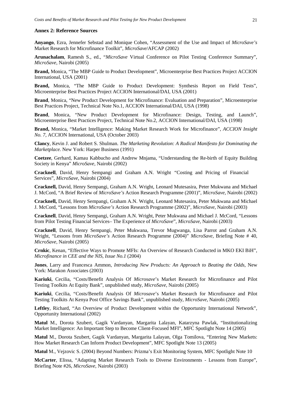#### **Annex 2: Reference Sources**

**Anyango**, Ezra, Jennefer Sebstad and Monique Cohen, "Assessment of the Use and Impact of *MicroSave's* Market Research for Microfinance Toolkit", *MicroSave*/AFCAP (2002)

**Arunachalam**, Ramesh S., ed., "*MicroSave* Virtual Conference on Pilot Testing Conference Summary", *MicroSave*, Nairobi (2005)

**Brand,** Monica, "The MBP Guide to Product Development", Microenterprise Best Practices Project ACCION International, USA (2001)

**Brand,** Monica, "The MBP Guide to Product Development: Synthesis Report on Field Tests", Microenterprise Best Practices Project ACCION International/DAI, USA (2001)

**Brand**, Monica, "New Product Development for Microfinance: Evaluation and Preparation", Microenterprise Best Practices Project, Technical Note No.1, ACCION International/DAI, USA (1998)

Brand, Monica, "New Product Development for Microfinance: Design, Testing, and Launch", Microenterprise Best Practices Project, Technical Note No.2, ACCION International/DAI, USA (1998)

**Brand,** Monica, "Market Intelligence: Making Market Research Work for Microfinance", *ACCION Insight No. 7,* ACCION International, USA (October 2003)

**Clancy**, Kevin J. and Robert S. Shulman. *The Marketing Revolution: A Radical Manifesto for Dominating the Marketplace.* New York: Harper Business (1991)

**Coetzee**, Gerhard, Kamau Kabbucho and Andrew Mnjama, "Understanding the Re-birth of Equity Building Society in Kenya" *MicroSave,* Nairobi (2002)

**Cracknell**, David, Henry Sempangi and Graham A.N. Wright *"*Costing and Pricing of Financial Services", *MicroSave*, Nairobi (2004)

**Cracknell,** David, Henry Sempangi, Graham A.N. Wright, Leonard Mutesasira, Peter Mukwana and Michael J. McCord, "A Brief Review of *MicroSave's* Action Research Programme (2001)", *MicroSave*, Nairobi (2002)

**Cracknell,** David, Henry Sempangi, Graham A.N. Wright, Leonard Mutesasira, Peter Mukwana and Michael J. McCord, "Lessons from *MicroSave's* Action Research Programme (2002)", *MicroSave*, Nairobi (2003)

**Cracknell**, David, Henry Sempangi, Graham A.N. Wright, Peter Mukwana and Michael J. McCord, "Lessons from Pilot Testing Financial Services– The Experience of *MicroSave*", *MicroSave*, Nairobi (2003)

**Cracknell**, David, Henry Sempangi, Peter Mukwana, Trevor Mugwanga, Lisa Parrot and Graham A.N. Wright, "Lessons from *MicroSave's* Action Research Programme (2004)" *MicroSave,* Briefing Note # 40, *MicroSave,* Nairobi (2005)

**Crnkic**, Kenan, "Effective Ways to Promote MFIs: An Overview of Research Conducted in MKO EKI BiH", *Microfinance in CEE and the NIS, Issue No.1* (2004)

**Jones**, Larry and Francesca Ammon, *Introducing New Products: An Approach to Beating the Odds*, New York: Marakon Associates (2003)

**Kariuki**, Cecilia, "Costs/Benefit Analysis Of *Microsave*'s Market Research for Microfinance and Pilot Testing Toolkits At Equity Bank", unpublished study, *MicroSave*, Nairobi (2005)

**Kariuki**, Cecilia, "Costs/Benefit Analysis Of *Microsave*'s Market Research for Microfinance and Pilot Testing Toolkits At Kenya Post Office Savings Bank", unpublished study, *MicroSave*, Nairobi (2005)

**Leftley**, Richard, "An Overview of Product Development within the Opportunity International Network", Opportunity International (2002)

**Matul** M., Dorota Szubert, Gagik Vardanyan, Margarita Lalayan, Katarzyna Pawlak, "Institutionalizing Market Intelligence: An Important Step to Become Client-Focused MFI", MFC Spotlight Note 14 (2005)

**Matul** M., Dorota Szubert, Gagik Vardanyan, Margarita Lalayan, Olga Tomilova, "Entering New Markets: How Market Research Can Inform Product Development", MFC Spotlight Note 13 (2005)

**Matul** M., Vejzovic S. (2004) Beyond Numbers: Prizma's Exit Monitoring System, MFC Spotlight Note 10

**McCarter**, Elissa, "Adapting Market Research Tools to Diverse Environments - Lessons from Europe", Briefing Note #26, *MicroSave,* Nairobi (2003)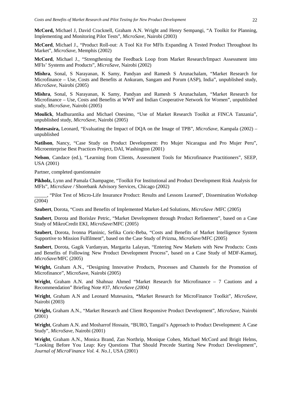**McCord,** Michael J, David Cracknell, Graham A.N. Wright and Henry Sempangi, "A Toolkit for Planning, Implementing and Monitoring Pilot Tests", *MicroSave,* Nairobi (2003)

**McCord**, Michael J., "Product Roll-out: A Tool Kit For MFIs Expanding A Tested Product Throughout Its Market", *MicroSave*, Memphis (2002)

**McCord**, Michael J., "Strengthening the Feedback Loop from Market Research/Impact Assessment into MFIs' Systems and Products", *MicroSave,* Nairobi (2002)

**Mishra**, Sonal, S Narayanan, K Samy, Pandyan and Ramesh S Arunachalam, "Market Research for Microfinance – Use, Costs and Benefits at Ankuram, Sangam and Porum (ASP), India", unpublished study, *MicroSave*, Nairobi (2005)

**Mishra**, Sonal, S Narayanan, K Samy, Pandyan and Ramesh S Arunachalam, "Market Research for Microfinance – Use, Costs and Benefits at WWF and Indian Cooperative Network for Women", unpublished study, *MicroSave*, Nairobi (2005)

**Moulick**, Madhurantika and Michael Onesimo, "Use of Market Research Toolkit at FINCA Tanzania", unpublished study, *MicroSave*, Nairobi (2005)

**Mutesasira,** Leonard, "Evaluating the Impact of DQA on the Image of TPB", *MicroSave,* Kampala (2002) – unpublished

**Natilson**, Nancy, "Case Study on Product Development: Pro Mujer Nicaragua and Pro Mujer Peru", Microenterprise Best Practices Project, DAI, Washington (2001)

**Nelson**, Candace (ed.), "Learning from Clients, Assessment Tools for Microfinance Practitioners", SEEP, USA (2001)

Partner, completed questionnaire

**Pikholz,** Lynn and Pamala Champagne, "Toolkit For Institutional and Product Development Risk Analysis for MFIs", *MicroSave /* Shorebank Advisory Services, Chicago (2002)

\_\_\_\_\_, "Pilot Test of Micro-Life Insurance Product: Results and Lessons Learned", Dissemination Workshop (2004)

**Szubert**, Dorota, "Costs and Benefits of Implemented Market-Led Solutions, *MicroSave* /MFC (2005)

**Szubert**, Dorota and Borislav Petric, "Market Development through Product Refinement", based on a Case Study of MikroCredit EKI, *MicroSave*/MFC (2005)

**Szubert**, Dorota, Ivonna Planinic, Sefika Coric-Beba, "Costs and Benefits of Market Intelligence System Supportive to Mission Fulfilment", based on the Case Study of Prizma, *MicroSave*/MFC (2005)

**Szubert**, Dorota, Gagik Vardanyan, Margarita Lalayan, "Entering New Markets with New Products: Costs and Benefits of Following New Product Development Process", based on a Case Study of MDF-Kamurj, *MicroSave*/MFC (2005)

**Wright,** Graham A.N., "Designing Innovative Products, Processes and Channels for the Promotion of Microfinance", MicroSave, Nairobi (2005)

**Wright**, Graham A.N. and Shahnaz Ahmed "Market Research for Microfinance – 7 Cautions and a Recommendation" Briefing Note #37, *MicroSave (2004)*

**Wright**, Graham A.N and Leonard Mutesasira, *"*Market Research for MicroFinance Toolkit", *MicroSave,*  Nairobi (2003)

**Wright,** Graham A.N., "Market Research and Client Responsive Product Development", *MicroSave*, Nairobi (2001)

**Wright**, Graham A.N. and Mosharrof Hossain, "BURO, Tangail's Approach to Product Development: A Case Study", *MicroSave,* Nairobi (2001)

**Wright**, Graham A.N., Monica Brand, Zan Northrip, Monique Cohen, Michael McCord and Brigit Helms, "Looking Before You Leap: Key Questions That Should Precede Starting New Product Development", *Journal of MicroFinance Vol. 4. No.1*, USA (2001)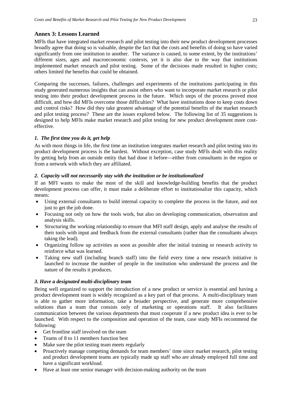## **Annex 3: Lessons Learned**

MFIs that have integrated market research and pilot testing into their new product development processes broadly agree that doing so is valuable, despite the fact that the costs and benefits of doing so have varied significantly from one institution to another. The variance is caused, to some extent, by the institutions' different sizes, ages and macroeconomic contexts, yet it is also due to the way that institutions implemented market research and pilot testing. Some of the decisions made resulted in higher costs; others limited the benefits that could be obtained.

Comparing the successes, failures, challenges and experiments of the institutions participating in this study generated numerous insights that can assist others who want to incorporate market research or pilot testing into their product development process in the future. Which steps of the process proved most difficult, and how did MFIs overcome those difficulties? What have institutions done to keep costs down and control risks? How did they take greatest advantage of the potential benefits of the market research and pilot testing process? These are the issues explored below. The following list of 35 suggestions is designed to help MFIs make market research and pilot testing for new product development more costeffective.

## *1. The first time you do it, get help*

As with most things in life, the first time an institution integrates market research and pilot testing into its product development process is the hardest. Without exception, case study MFIs dealt with this reality by getting help from an outside entity that had done it before—either from consultants in the region or from a network with which they are affiliated.

## *2. Capacity will not necessarily stay with the institution or be institutionalized*

If an MFI wants to make the most of the skill and knowledge-building benefits that the product development process can offer, it must make a deliberate effort to institutionalize this capacity, which means:

- Using external consultants to build internal capacity to complete the process in the future, and not just to get the job done.
- Focusing not only on how the tools work, but also on developing communication, observation and analysis skills.
- Structuring the working relationship to ensure that MFI staff design, apply and analyse the results of their tools with input and feedback from the external consultants (rather than the consultants always taking the lead).
- Organizing follow up activities as soon as possible after the initial training or research activity to reinforce what was learned.
- Taking new staff (including branch staff) into the field every time a new research initiative is launched to increase the number of people in the institution who understand the process and the nature of the results it produces.

## *3. Have a designated multi-disciplinary team*

Being well organized to support the introduction of a new product or service is essential and having a product development team is widely recognized as a key part of that process. A multi-disciplinary team is able to gather more information, take a broader perspective, and generate more comprehensive solutions than a team that consists only of marketing or operations staff. It also facilitates communication between the various departments that must cooperate if a new product idea is ever to be launched. With respect to the composition and operation of the team, case study MFIs recommend the following:

- Get frontline staff involved on the team
- Teams of 8 to 11 members function best
- Make sure the pilot testing team meets regularly
- Proactively manage competing demands for team members' time since market research, pilot testing and product development teams are typically made up staff who are already employed full time and have a significant workload.
- Have at least one senior manager with decision-making authority on the team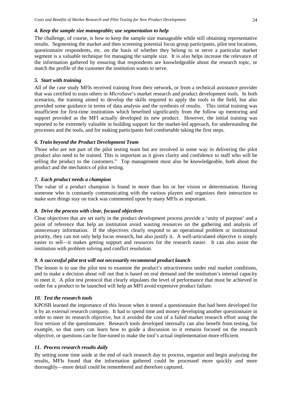#### *4. Keep the sample size manageable; use segmentation to help*

The challenge, of course, is how to keep the sample size manageable while still obtaining representative results. Segmenting the market and then screening potential focus group participants, pilot test locations, questionnaire respondents, etc. on the basis of whether they belong to or serve a particular market segment is a valuable technique for managing the sample size. It is also helps increase the relevance of the information gathered by ensuring that respondents are knowledgeable about the research topic, or match the profile of the customer the institution wants to serve.

## *5. Start with training*

All of the case study MFIs received training from their network, or from a technical assistance provider that was certified to train others in *MicroSave*'s market research and product development tools. In both scenarios, the training aimed to develop the skills required to apply the tools in the field, but also provided some guidance in terms of data analysis and the synthesis of results. This initial training was insufficient for first-time institutions which benefited significantly from the follow up mentoring and support provided as the MFI actually developed its new product. However, the initial training was reported to be extremely valuable in building support for the market-led approach, for understanding the processes and the tools, and for making participants feel comfortable taking the first steps.

#### *6. Train beyond the Product Development Team*

Those who are not part of the pilot testing team but are involved in some way in delivering the pilot product also need to be trained. This is important as it gives clarity and confidence to staff who will be selling the product to the customers." Top management must also be knowledgeable, both about the product and the mechanics of pilot testing.

#### *7. Each product needs a champion*

The value of a product champion is found in more than his or her vision or determination. Having someone who is constantly communicating with the various players and organizes their interaction to make sure things stay on track was commented upon by many MFIs as important.

## *8. Drive the process with clear, focused objectives*

Clear objectives that are set early in the product development process provide a 'unity of purpose' and a point of reference that help an institution avoid wasting resources on the gathering and analysis of unnecessary information. If the objectives clearly respond to an operational problem or institutional priority, they can not only help focus research, but also justify it. A well-articulated objective is simply easier to sell—it makes getting support and resources for the research easier. It can also assist the institution with problem solving and conflict resolution.

#### *9. A successful pilot test will not necessarily recommend product launch*

The lesson is to use the pilot test to examine the product's attractiveness under real market conditions, and to make a decision about roll out that is based on real demand and the institution's internal capacity to meet it. A pilot test protocol that clearly stipulates the level of performance that must be achieved in order for a product to be launched will help an MFI avoid expensive product failure.

## *10. Test the research tools*

KPOSB learned the importance of this lesson when it tested a questionnaire that had been developed for it by an external research company. It had to spend time and money developing another questionnaire in order to meet its research objective, but it avoided the cost of a failed market research effort using the first version of the questionnaire. Research tools developed internally can also benefit from testing, for example, so that users can learn how to guide a discussion so it remains focused on the research objective, or questions can be fine-tuned to make the tool's actual implementation more efficient.

#### *11. Process research results daily*

By setting some time aside at the end of each research day to process, organize and begin analyzing the results, MFIs found that the information gathered could be processed more quickly and more thoroughly—more detail could be remembered and therefore captured.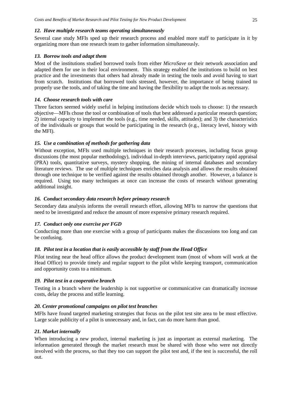#### *12. Have multiple research teams operating simultaneously*

Several case study MFIs sped up their research process and enabled more staff to participate in it by organizing more than one research team to gather information simultaneously.

#### *13. Borrow tools and adapt them*

Most of the institutions studied borrowed tools from either *MicroSave* or their network association and adapted them for use in their local environment. This strategy enabled the institutions to build on best practice and the investments that others had already made in testing the tools and avoid having to start from scratch. Institutions that borrowed tools stressed, however, the importance of being trained to properly use the tools, and of taking the time and having the flexibility to adapt the tools as necessary.

#### *14. Choose research tools with care*

Three factors seemed widely useful in helping institutions decide which tools to choose: 1) the research objective—MFIs chose the tool or combination of tools that best addressed a particular research question; 2) internal capacity to implement the tools (e.g., time needed, skills, attitudes); and 3) the characteristics of the individuals or groups that would be participating in the research (e.g., literacy level, history with the MFI).

#### *15. Use a combination of methods for gathering data*

Without exception, MFIs used multiple techniques in their research processes, including focus group discussions (the most popular methodology), individual in-depth interviews, participatory rapid appraisal (PRA) tools, quantitative surveys, mystery shopping, the mining of internal databases and secondary literature reviews. The use of multiple techniques enriches data analysis and allows the results obtained through one technique to be verified against the results obtained through another. However, a balance is required. Using too many techniques at once can increase the costs of research without generating additional insight.

#### *16. Conduct secondary data research before primary research*

Secondary data analysis informs the overall research effort, allowing MFIs to narrow the questions that need to be investigated and reduce the amount of more expensive primary research required.

#### *17. Conduct only one exercise per FGD*

Conducting more than one exercise with a group of participants makes the discussions too long and can be confusing.

## *18. Pilot test in a location that is easily accessible by staff from the Head Office*

Pilot testing near the head office allows the product development team (most of whom will work at the Head Office) to provide timely and regular support to the pilot while keeping transport, communication and opportunity costs to a minimum.

#### *19. Pilot test in a cooperative branch*

Testing in a branch where the leadership is not supportive or communicative can dramatically increase costs, delay the process and stifle learning.

#### *20. Center promotional campaigns on pilot test branches*

MFIs have found targeted marketing strategies that focus on the pilot test site area to be most effective. Large scale publicity of a pilot is unnecessary and, in fact, can do more harm than good.

#### *21. Market internally*

When introducing a new product, internal marketing is just as important as external marketing. The information generated through the market research must be shared with those who were not directly involved with the process, so that they too can support the pilot test and, if the test is successful, the roll out.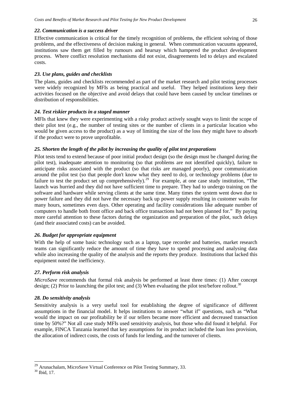#### *22. Communication is a success driver*

Effective communication is critical for the timely recognition of problems, the efficient solving of those problems, and the effectiveness of decision making in general. When communication vacuums appeared, institutions saw them get filled by rumours and hearsay which hampered the product development process. Where conflict resolution mechanisms did not exist, disagreements led to delays and escalated costs.

## *23. Use plans, guides and checklists*

The plans, guides and checklists recommended as part of the market research and pilot testing processes were widely recognized by MFIs as being practical and useful. They helped institutions keep their activities focused on the objective and avoid delays that could have been caused by unclear timelines or distribution of responsibilities.

## *24. Test riskier products in a staged manner*

MFIs that knew they were experimenting with a risky product actively sought ways to limit the scope of their pilot test (e.g., the number of testing sites or the number of clients in a particular location who would be given access to the product) as a way of limiting the size of the loss they might have to absorb if the product were to prove unprofitable.

## *25. Shorten the length of the pilot by increasing the quality of pilot test preparations*

Pilot tests tend to extend because of poor initial product design (so the design must be changed during the pilot test), inadequate attention to monitoring (so that problems are not identified quickly), failure to anticipate risks associated with the product (so that risks are managed poorly), poor communication around the pilot test (so that people don't know what they need to do), or technology problems (due to failure to test the product set up comprehensively).<sup>[29](#page-25-0)</sup> For example, at one case study institution, "The launch was hurried and they did not have sufficient time to prepare. They had to undergo training on the software and hardware while serving clients at the same time. Many times the system went down due to power failure and they did not have the necessary back up power supply resulting in customer waits for many hours, sometimes even days. Other operating and facility considerations like adequate number of computers to handle both front office and back office transactions had not been planned for." By paying more careful attention to these factors during the organization and preparation of the pilot, such delays (and their associated costs) can be avoided.

## *26. Budget for appropriate equipment*

With the help of some basic technology such as a laptop, tape recorder and batteries, market research teams can significantly reduce the amount of time they have to spend processing and analysing data while also increasing the quality of the analysis and the reports they produce. Institutions that lacked this equipment noted the inefficiency.

## *27. Perform risk analysis*

*MicroSave* recommends that formal risk analysis be performed at least three times: (1) After concept design; (2) Prior to launching the pilot test; and (3) When evaluating the pilot test/before rollout.<sup>[30](#page-25-1)</sup>

## *28. Do sensitivity analysis*

Sensitivity analysis is a very useful tool for establishing the degree of significance of different assumptions in the financial model. It helps institutions to answer "what if" questions, such as "What would the impact on our profitability be if our tellers became more efficient and decreased transaction time by 50%?" Not all case study MFIs used sensitivity analysis, but those who did found it helpful. For example, FINCA Tanzania learned that key assumptions for its product included the loan loss provision, the allocation of indirect costs, the costs of funds for lending, and the turnover of clients.

<span id="page-25-1"></span><span id="page-25-0"></span><sup>&</sup>lt;sup>29</sup> Arunachalam, MicroSave Virtual Conference on Pilot Testing Summary, 33. <sup>30</sup> Ibid. 17.